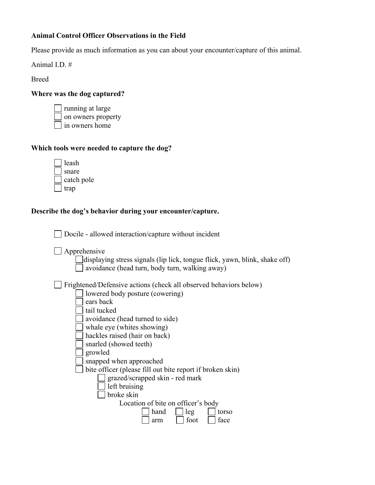## **Animal Control Officer Observations in the Field**

Please provide as much information as you can about your encounter/capture of this animal.

Animal I.D. #

Breed

### **Where was the dog captured?**

running at large on owners property in owners home

# **Which tools were needed to capture the dog?**

| leash      |
|------------|
| snare      |
| catch pole |
| trap       |

## **Describe the dog's behavior during your encounter/capture.**

□ Docile - allowed interaction/capture without incident

**Apprehensive** 

displaying stress signals (lip lick, tongue flick, yawn, blink, shake off)  $\Box$  avoidance (head turn, body turn, walking away)

Frightened/Defensive actions (check all observed behaviors below)

| lowered body posture (cowering)                           |
|-----------------------------------------------------------|
| ears back                                                 |
| tail tucked                                               |
| avoidance (head turned to side)                           |
| whale eye (whites showing)                                |
| hackles raised (hair on back)                             |
| snarled (showed teeth)                                    |
| growled                                                   |
| snapped when approached                                   |
| bite officer (please fill out bite report if broken skin) |
| grazed/scrapped skin - red mark                           |
| left bruising                                             |
| broke skin                                                |
| Location of bite on officer's body                        |
| hand<br>leg<br>torso                                      |
| foot<br>face<br>arm                                       |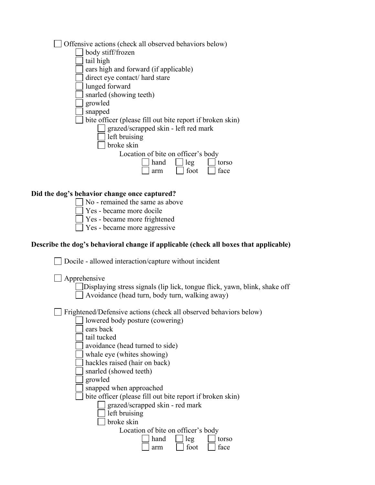| Offensive actions (check all observed behaviors below)                               |
|--------------------------------------------------------------------------------------|
| body stiff/frozen                                                                    |
| tail high                                                                            |
| ears high and forward (if applicable)                                                |
| direct eye contact/ hard stare                                                       |
| lunged forward                                                                       |
| snarled (showing teeth)                                                              |
| growled                                                                              |
| snapped                                                                              |
| bite officer (please fill out bite report if broken skin)                            |
| grazed/scrapped skin - left red mark                                                 |
| left bruising                                                                        |
| broke skin                                                                           |
| Location of bite on officer's body                                                   |
| hand<br>leg<br>torso                                                                 |
| foot<br>face<br>arm                                                                  |
|                                                                                      |
|                                                                                      |
| Did the dog's behavior change once captured?                                         |
| No - remained the same as above                                                      |
| Yes - became more docile                                                             |
| Yes - became more frightened                                                         |
| Yes - became more aggressive                                                         |
| Describe the dog's behavioral change if applicable (check all boxes that applicable) |
|                                                                                      |
| Docile - allowed interaction/capture without incident                                |
|                                                                                      |
| Apprehensive                                                                         |
| Displaying stress signals (lip lick, tongue flick, yawn, blink, shake off            |
| Avoidance (head turn, body turn, walking away)                                       |
|                                                                                      |
| Frightened/Defensive actions (check all observed behaviors below)                    |
| lowered body posture (cowering)                                                      |
| ears back                                                                            |
| tail tucked                                                                          |
| avoidance (head turned to side)                                                      |
| whale eye (whites showing)                                                           |
| hackles raised (hair on back)                                                        |
| snarled (showed teeth)                                                               |
| growled                                                                              |
| snapped when approached                                                              |
| bite officer (please fill out bite report if broken skin)                            |
| grazed/scrapped skin - red mark                                                      |
| left bruising                                                                        |
| broke skin                                                                           |
| Location of bite on officer's body                                                   |
| hand<br>leg<br>torso                                                                 |
| foot<br>face<br>arm                                                                  |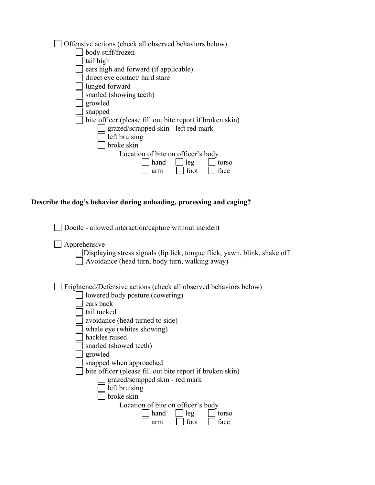| Offensive actions (check all observed behaviors below)    |
|-----------------------------------------------------------|
| body stiff/frozen                                         |
| tail high                                                 |
| ears high and forward (if applicable)                     |
| direct eye contact/ hard stare                            |
| lunged forward                                            |
| snarled (showing teeth)                                   |
| growled                                                   |
| snapped                                                   |
| bite officer (please fill out bite report if broken skin) |
| grazed/scrapped skin - left red mark                      |
| left bruising                                             |
| broke skin                                                |
| Location of bite on officer's body                        |
| hand<br>leg<br>torso                                      |
| foot<br>face<br>arm                                       |

### **Describe the dog's behavior during unloading, processing and caging?**

|  | □ Docile - allowed interaction/capture without incident |  |  |
|--|---------------------------------------------------------|--|--|
|  |                                                         |  |  |

- $\Box$  Apprehensive
	- Displaying stress signals (lip lick, tongue flick, yawn, blink, shake off  $\Box$  Avoidance (head turn, body turn, walking away)

Frightened/Defensive actions (check all observed behaviors below)

- lowered body posture (cowering)  $\Box$  ears back
- $\Box$  tail tucked
- avoidance (head turned to side)
- whale eye (whites showing)
- hackles raised
- snarled (showed teeth)
- growled
- snapped when approached
- $\Box$  bite officer (please fill out bite report if broken skin)
	- grazed/scrapped skin red mark
	- $\Box$  left bruising
	- $\Box$  broke skin
		- Location of bite on officer's body

| hand | leg  | torso |
|------|------|-------|
| arm  | foot | face  |